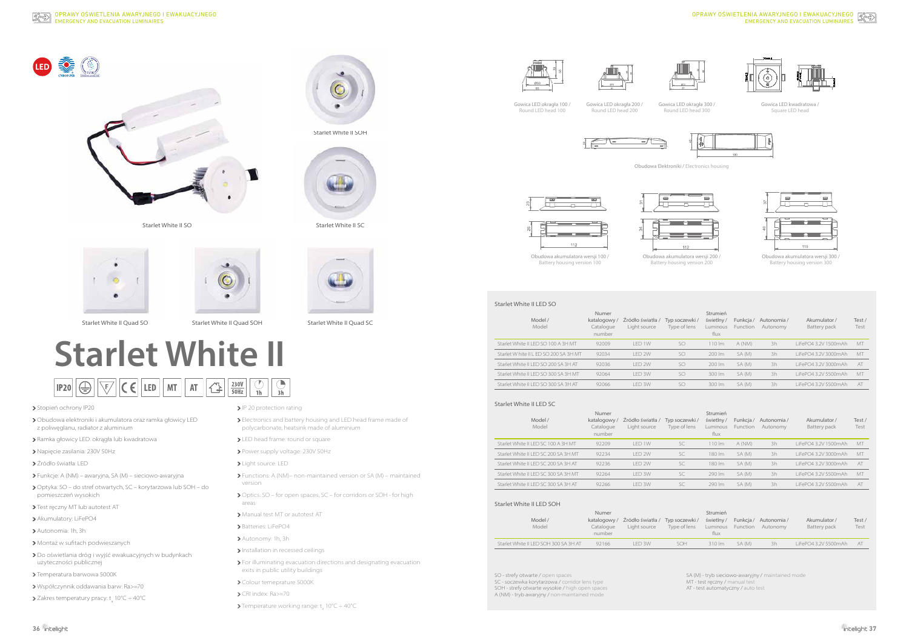

Starlet White II SO





Starlet White II Quad SO
Starlet White II Quad SO Starlet White II Quad SOH
Starlet White II Quad SC

 $\begin{array}{|c|c|}\n\hline\n230V \\
\hline\n50Hz\n\end{array}$ 

 $|\mathbb{A}|$ 



Starlet White II SOH





# **Starlet White II**

 $||\zeta \in ||$  led  $||$  mt  $||$  at  $||$ 

## > Stopień ochrony IP20

- Napięcie zasilania: 230V 50Hz
- Źródło światła: LED
- Funkcje: A (NM) awaryjna, SA (M) sieciowo-awaryjna
- Optyka: SO do stref otwartych, SC korytarzowa lub SOH do pomieszczeń wysokich
- > Test ręczny MT lub autotest AT
- > Akumulatory: LiFePO4
- Autonomia: 1h, 3h
- Montaż w sufitach podwieszanych
- Do oświetlania dróg i wyjść ewakuacyjnych w budynkach użyteczności publicznej
- >Temperatura barwowa 5000K
- Współczynnik oddawania barw: Ra>=70
- Zakres temperatury pracy:  $t_a$  10°C ÷ 40°C

> IP 20 protection rating

 $\left|\left| \bigcirc \atop \frac{1}{2h} \right| \right|$  3h

- Obudowa elektroniki i akumulatora oraz ramka głowicy LED z poliwęglanu, radiator z aluminium
- Ramka głowicy LED: okrągła lub kwadratowa

 $|$ IP20 $| \bigoplus | \bigtriangledown$ 

- Electronics and battery housing and LED head frame made of polycarbonate, heatsink made of aluminium
- > LED head frame: round or square
- Power supply voltage: 230V 50Hz
- Light source: LED
- Functions: A (NM)– non-maintained version or SA (M) maintained version
- Optics: SO for open spaces, SC for corridors or SOH for high areas
- Manual test MT or autotest AT
- Batteries: LiFePO4
- Autonomy: 1h, 3h
- Installation in recessed ceilings
- For illuminating evacuation directions and designating evacuation exits in public utility buildings
- > Colour temeprature 5000K
- CRI index: Ra>=70
- Temperature working range:  $t_a$  10°C ÷ 40°C







# EMERGENCY AND EVACUATION LUMINAIRES OPRAWY OŚWIETLENIA AWARYJNEGO I EWAKUACYJNEGO







Gowica LED okragła 300 / Round LED head 300

| Model /<br>Model                       | Numer<br>katalogowy/<br>Catalogue<br>number | Źródło światła /<br>Light source | Typ soczewki/<br>Type of lens | Strumień<br>świetlny/<br>Luminous<br>flux | Funkcja/<br><b>Function</b> | Autonomia /<br>Autonomy | Akumulator /<br>Battery pack | Test/<br>Test |
|----------------------------------------|---------------------------------------------|----------------------------------|-------------------------------|-------------------------------------------|-----------------------------|-------------------------|------------------------------|---------------|
| Starlet White II LED SO 100 A 3H MT    | 92009                                       | I FD 1W                          | SO                            | $10 \, \mathrm{m}$                        | A (NM)                      | 3h                      | LiFePO4 3.2V 1500mAh         | <b>MT</b>     |
| Starlet W hite II L ED SO 200 SA 3H MT | 92034                                       | I FD 2W                          | SO                            | 200 lm                                    | SA (M)                      | 3h                      | LiFePO4 3.2V 3000mAh         | <b>MT</b>     |
| Starlet White II LED SO 200 SA 3H AT   | 92036                                       | I FD 2W                          | SO.                           | 200 lm                                    | SA (M)                      | 3h                      | LiFePO4 3.2V 3000mAh         | AT            |
| Starlet White II I ED SO 300 SA 3H MT  | 92064                                       | I FD 3W                          | SO.                           | 300 lm                                    | SA (M)                      | 3h                      | LiFePO4 3.2V 5500mAh         | <b>MT</b>     |
| Starlet White II LED SO 300 SA 3H AT   | 92066                                       | <b>IFD 3W</b>                    | SO.                           | 300 lm                                    | SA (M)                      | 3h                      | LiFePO4 3.2V 5500mAh         | AT            |

| Model /<br>Model                     | Numer<br>katalogowy/<br>Catalogue<br>number | Źródło światła /<br>Light source | Typ soczewki/<br>Type of lens | Strumień<br>świetlny/<br>Luminous<br>flux | Funkcja/<br>Function | Autonomia /<br>Autonomy | Akumulator /<br>Battery pack | Test/<br>Test |
|--------------------------------------|---------------------------------------------|----------------------------------|-------------------------------|-------------------------------------------|----------------------|-------------------------|------------------------------|---------------|
| Starlet White II LED SC 100 A 3H MT  | 92209                                       | LED 1W                           | SC.                           | $110 \mathrm{Im}$                         | A (NM)               | 3h                      | LiFePO4 3.2V 1500mAh         | MT            |
| Starlet White II LED SC 200 SA 3H MT | 92234                                       | <b>IFD 2W</b>                    | SC.                           | 180 lm                                    | SA (M)               | 3h                      | LiFePO4 3.2V 3000mAh         | MT            |
| Starlet White II LED SC 200 SA 3H AT | 92236                                       | <b>IFD 2W</b>                    | SC.                           | 180 lm                                    | SA (M)               | 3h                      | LiFePO4 3.2V 3000mAh         | AT            |
| Starlet White II LED SC 300 SA 3H MT | 92264                                       | <b>IFD 3W</b>                    | SC.                           | 290 lm                                    | SA (M)               | 3h                      | LiFePO4 3.2V 5500mAh         | MT            |
| Starlet White II LED SC 300 SA 3H AT | 92266                                       | LED 3W                           | SC                            | 290 lm                                    | SA (M)               | 3h                      | LiFePO4 3.2V 5500mAh         | AT            |
|                                      |                                             |                                  |                               |                                           |                      |                         |                              |               |

| Model /<br>Model                      | Numer<br>Catalogue<br>number | katalogowy / Źródło światła /<br>Light source | Typ soczewki/<br>Type of lens | Strumień<br>świetlny/<br>Luminous<br>flux | Function | Funkcja / Autonomia /<br>Autonomy | Akumulator /<br>Battery pack | Test /<br>Test |
|---------------------------------------|------------------------------|-----------------------------------------------|-------------------------------|-------------------------------------------|----------|-----------------------------------|------------------------------|----------------|
| Starlet White II LED SOH 300 SA 3H AT | 92166                        | I FD 3W                                       | SOH                           | $310 \, \text{Im}$                        | SA (M)   | 3h                                | LiFePO4 3.2V 5500mAh         | AT             |

Gowica LED okragła 100 / Round LED head 100

> Obudowa akumulatora wersji 100 / Battery housing version 100

Obudowa akumulatora wersji 200 / Battery housing version 200

Obudowa akumulatora wersji 300 / Battery housing version 300

(M) - tryb sieciowo-awaryjny / maintained mode

T - test ręczny / manual test

- test automatyczny / auto test

Gowica LED okragła 200 /





Obudowa Elektroniki / Electronics housing



Gowica LED kwadratowa / Square LED head







## Starlet White II LED SO

#### Starlet White II LED SC

#### Starlet White II LED SOH

| SO - strefy otwarte / open spaces               | $S_A$ |
|-------------------------------------------------|-------|
| SC - soczewka korytarzowa / corridor lens type  | M.    |
| SOH - strefy otwarte wysokie / high open spaces | AT    |
| A (NM) - tryb awaryiny / non-maintained mode    |       |
|                                                 |       |